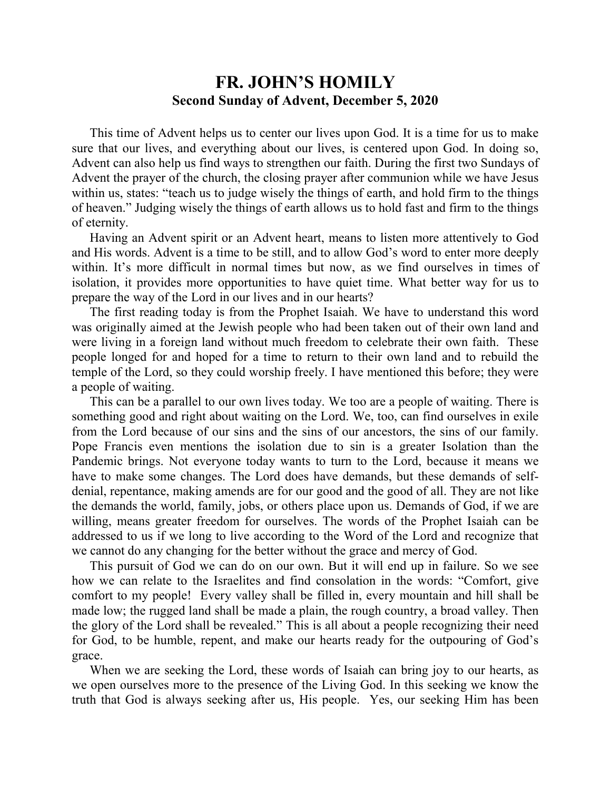## **FR. JOHN'S HOMILY Second Sunday of Advent, December 5, 2020**

 This time of Advent helps us to center our lives upon God. It is a time for us to make sure that our lives, and everything about our lives, is centered upon God. In doing so, Advent can also help us find ways to strengthen our faith. During the first two Sundays of Advent the prayer of the church, the closing prayer after communion while we have Jesus within us, states: "teach us to judge wisely the things of earth, and hold firm to the things of heaven." Judging wisely the things of earth allows us to hold fast and firm to the things of eternity.

 Having an Advent spirit or an Advent heart, means to listen more attentively to God and His words. Advent is a time to be still, and to allow God's word to enter more deeply within. It's more difficult in normal times but now, as we find ourselves in times of isolation, it provides more opportunities to have quiet time. What better way for us to prepare the way of the Lord in our lives and in our hearts?

 The first reading today is from the Prophet Isaiah. We have to understand this word was originally aimed at the Jewish people who had been taken out of their own land and were living in a foreign land without much freedom to celebrate their own faith. These people longed for and hoped for a time to return to their own land and to rebuild the temple of the Lord, so they could worship freely. I have mentioned this before; they were a people of waiting.

 This can be a parallel to our own lives today. We too are a people of waiting. There is something good and right about waiting on the Lord. We, too, can find ourselves in exile from the Lord because of our sins and the sins of our ancestors, the sins of our family. Pope Francis even mentions the isolation due to sin is a greater Isolation than the Pandemic brings. Not everyone today wants to turn to the Lord, because it means we have to make some changes. The Lord does have demands, but these demands of selfdenial, repentance, making amends are for our good and the good of all. They are not like the demands the world, family, jobs, or others place upon us. Demands of God, if we are willing, means greater freedom for ourselves. The words of the Prophet Isaiah can be addressed to us if we long to live according to the Word of the Lord and recognize that we cannot do any changing for the better without the grace and mercy of God.

 This pursuit of God we can do on our own. But it will end up in failure. So we see how we can relate to the Israelites and find consolation in the words: "Comfort, give comfort to my people! Every valley shall be filled in, every mountain and hill shall be made low; the rugged land shall be made a plain, the rough country, a broad valley. Then the glory of the Lord shall be revealed." This is all about a people recognizing their need for God, to be humble, repent, and make our hearts ready for the outpouring of God's grace.

 When we are seeking the Lord, these words of Isaiah can bring joy to our hearts, as we open ourselves more to the presence of the Living God. In this seeking we know the truth that God is always seeking after us, His people. Yes, our seeking Him has been